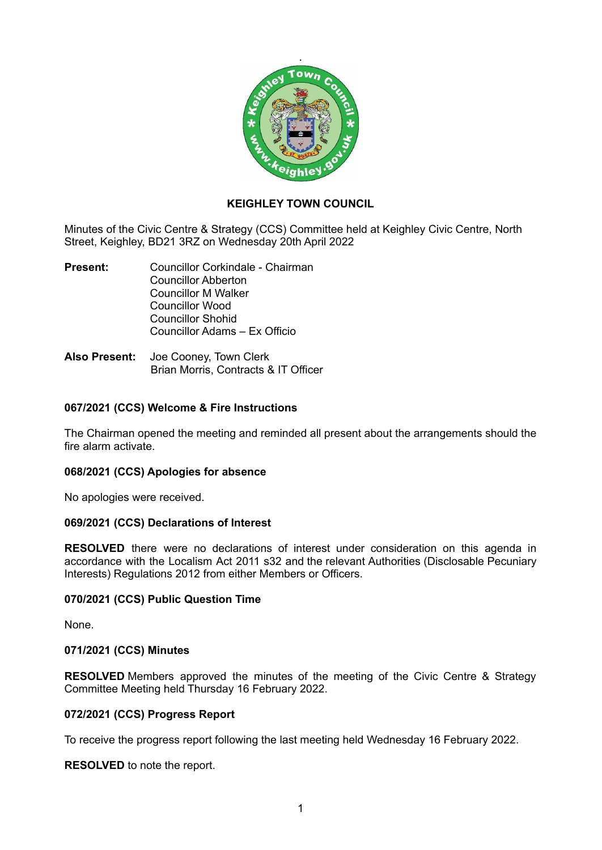

## **KEIGHLEY TOWN COUNCIL**

Minutes of the Civic Centre & Strategy (CCS) Committee held at Keighley Civic Centre, North Street, Keighley, BD21 3RZ on Wednesday 20th April 2022

- **Present:** Councillor Corkindale Chairman Councillor Abberton Councillor M Walker Councillor Wood Councillor Shohid Councillor Adams – Ex Officio
- **Also Present:** Joe Cooney, Town Clerk Brian Morris, Contracts & IT Officer

### **067/2021 (CCS) Welcome & Fire Instructions**

The Chairman opened the meeting and reminded all present about the arrangements should the fire alarm activate.

### **068/2021 (CCS) Apologies for absence**

No apologies were received.

### **069/2021 (CCS) Declarations of Interest**

**RESOLVED** there were no declarations of interest under consideration on this agenda in accordance with the Localism Act 2011 s32 and the relevant Authorities (Disclosable Pecuniary Interests) Regulations 2012 from either Members or Officers.

### **070/2021 (CCS) Public Question Time**

None.

### **071/2021 (CCS) Minutes**

**RESOLVED** Members approved the minutes of the meeting of the Civic Centre & Strategy Committee Meeting held Thursday 16 February 2022.

### **072/2021 (CCS) Progress Report**

To receive the progress report following the last meeting held Wednesday 16 February 2022.

**RESOLVED** to note the report.